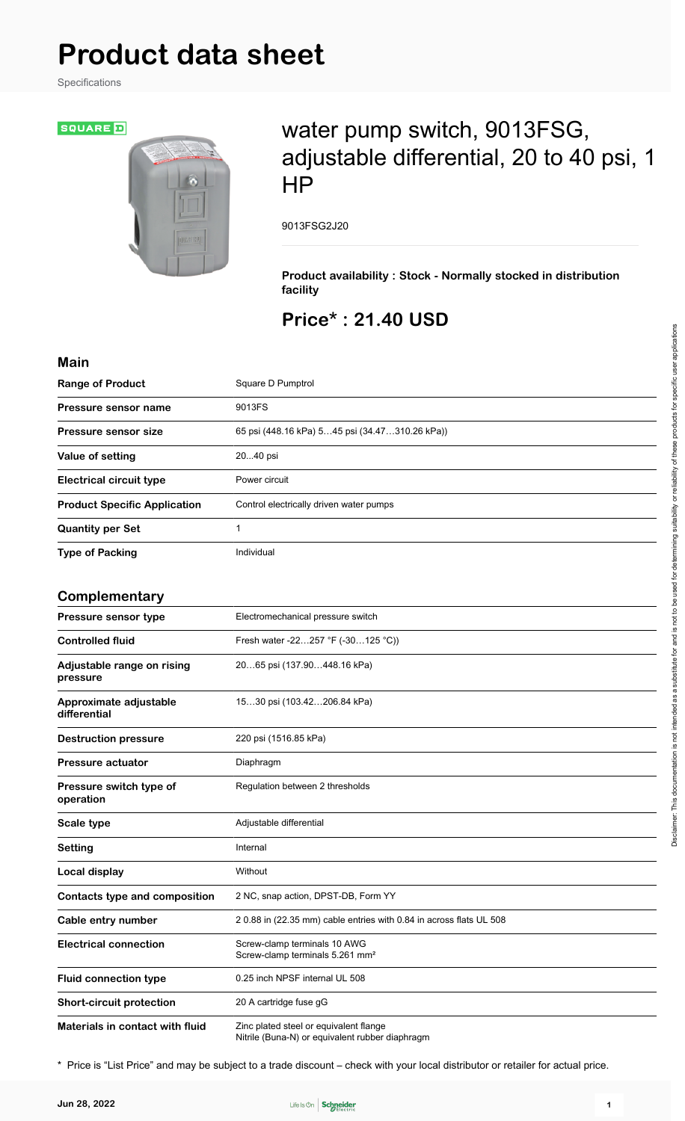# **Product data sheet**

Specifications

**SQUARE**D

## water pump switch, 9013FSG, adjustable differential, 20 to 40 psi, 1 HP

9013FSG2J20

**Product availability : Stock - Normally stocked in distribution facility**

### **Price\* : 21.40 USD**

| <b>Main</b>                            |                                                                                           |
|----------------------------------------|-------------------------------------------------------------------------------------------|
| <b>Range of Product</b>                | Square D Pumptrol                                                                         |
| <b>Pressure sensor name</b>            | 9013FS                                                                                    |
| <b>Pressure sensor size</b>            | 65 psi (448.16 kPa) 545 psi (34.47310.26 kPa))                                            |
| Value of setting                       | 2040 psi                                                                                  |
| <b>Electrical circuit type</b>         | Power circuit                                                                             |
| <b>Product Specific Application</b>    | Control electrically driven water pumps                                                   |
| <b>Quantity per Set</b>                | 1                                                                                         |
| <b>Type of Packing</b>                 | Individual                                                                                |
|                                        |                                                                                           |
| Complementary                          |                                                                                           |
| Pressure sensor type                   | Electromechanical pressure switch                                                         |
| <b>Controlled fluid</b>                | Fresh water -22257 °F (-30125 °C))                                                        |
| Adjustable range on rising<br>pressure | 2065 psi (137.90448.16 kPa)                                                               |
| Approximate adjustable<br>differential | 1530 psi (103.42206.84 kPa)                                                               |
| <b>Destruction pressure</b>            | 220 psi (1516.85 kPa)                                                                     |
| <b>Pressure actuator</b>               | Diaphragm                                                                                 |
| Pressure switch type of<br>operation   | Regulation between 2 thresholds                                                           |
| Scale type                             | Adjustable differential                                                                   |
| <b>Setting</b>                         | Internal                                                                                  |
| <b>Local display</b>                   | Without                                                                                   |
| Contacts type and composition          | 2 NC, snap action, DPST-DB, Form YY                                                       |
| Cable entry number                     | 2 0.88 in (22.35 mm) cable entries with 0.84 in across flats UL 508                       |
| <b>Electrical connection</b>           | Screw-clamp terminals 10 AWG<br>Screw-clamp terminals 5.261 mm <sup>2</sup>               |
| <b>Fluid connection type</b>           | 0.25 inch NPSF internal UL 508                                                            |
| <b>Short-circuit protection</b>        | 20 A cartridge fuse gG                                                                    |
| Materials in contact with fluid        | Zinc plated steel or equivalent flange<br>Nitrile (Buna-N) or equivalent rubber diaphragm |

\* Price is "List Price" and may be subject to a trade discount – check with your local distributor or retailer for actual price.

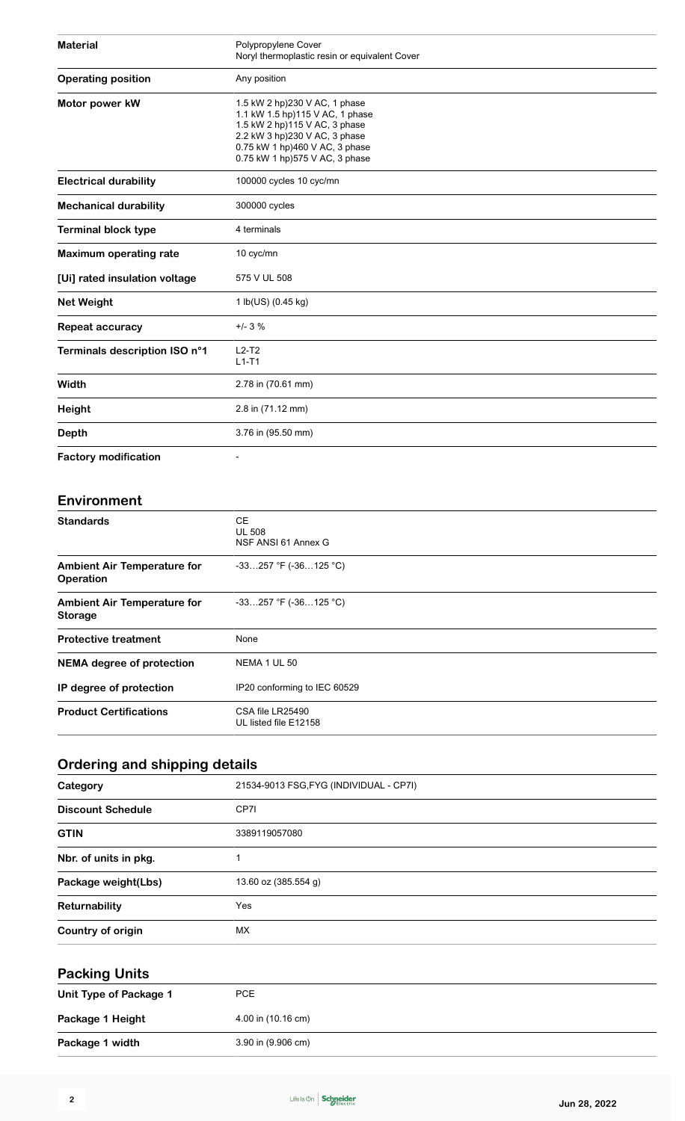| <b>Material</b>               | Polypropylene Cover<br>Noryl thermoplastic resin or equivalent Cover                                                                                                                                   |
|-------------------------------|--------------------------------------------------------------------------------------------------------------------------------------------------------------------------------------------------------|
| <b>Operating position</b>     | Any position                                                                                                                                                                                           |
| Motor power kW                | 1.5 kW 2 hp)230 V AC, 1 phase<br>1.1 kW 1.5 hp)115 V AC, 1 phase<br>1.5 kW 2 hp)115 V AC, 3 phase<br>2.2 kW 3 hp)230 V AC, 3 phase<br>0.75 kW 1 hp)460 V AC, 3 phase<br>0.75 kW 1 hp)575 V AC, 3 phase |
| <b>Electrical durability</b>  | 100000 cycles 10 cyc/mn                                                                                                                                                                                |
| <b>Mechanical durability</b>  | 300000 cycles                                                                                                                                                                                          |
| <b>Terminal block type</b>    | 4 terminals                                                                                                                                                                                            |
| <b>Maximum operating rate</b> | 10 cyc/mn                                                                                                                                                                                              |
| [Ui] rated insulation voltage | 575 V UL 508                                                                                                                                                                                           |
| <b>Net Weight</b>             | 1 lb(US) (0.45 kg)                                                                                                                                                                                     |
| Repeat accuracy               | $+/- 3 \%$                                                                                                                                                                                             |
| Terminals description ISO n°1 | $L2-T2$<br>$L1-T1$                                                                                                                                                                                     |
| Width                         | 2.78 in (70.61 mm)                                                                                                                                                                                     |
| Height                        | 2.8 in (71.12 mm)                                                                                                                                                                                      |
| <b>Depth</b>                  | 3.76 in (95.50 mm)                                                                                                                                                                                     |
| <b>Factory modification</b>   |                                                                                                                                                                                                        |

#### **Environment**

| <b>Standards</b>                                       | CE.<br><b>UL 508</b><br>NSF ANSI 61 Annex G |
|--------------------------------------------------------|---------------------------------------------|
| <b>Ambient Air Temperature for</b><br><b>Operation</b> | $-33257$ °F ( $-36125$ °C)                  |
| <b>Ambient Air Temperature for</b><br><b>Storage</b>   | $-33257$ °F ( $-36125$ °C)                  |
| <b>Protective treatment</b>                            | None                                        |
| <b>NEMA</b> degree of protection                       | NEMA 1 UL 50                                |
| IP degree of protection                                | IP20 conforming to IEC 60529                |
| <b>Product Certifications</b>                          | CSA file LR25490<br>UL listed file E12158   |

### **Ordering and shipping details**

| Category                 | 21534-9013 FSG, FYG (INDIVIDUAL - CP7I) |
|--------------------------|-----------------------------------------|
| <b>Discount Schedule</b> | CP7I                                    |
| <b>GTIN</b>              | 3389119057080                           |
| Nbr. of units in pkg.    |                                         |
| Package weight(Lbs)      | 13.60 oz (385.554 g)                    |
| Returnability            | Yes                                     |
| Country of origin        | МX                                      |

#### **Packing Units**

| Unit Type of Package 1 | PCE                |
|------------------------|--------------------|
| Package 1 Height       | 4.00 in (10.16 cm) |
| Package 1 width        | 3.90 in (9.906 cm) |